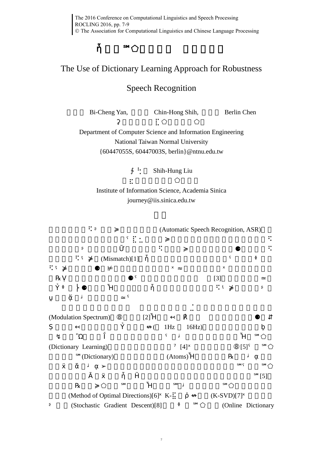## The Use of Dictionary Learning Approach for Robustness

## Speech Recognition

Bi-Cheng Yan, Chin-Hong Shih, Berlin Chen

Department of Computer Science and Information Engineering National Taiwan Normal University {60447055S, 60447003S, [berlin}@ntnu.edu.tw](mailto:berlin%7d@ntnu.edu.tw)

Shih-Hung Liu

Institute of Information Science, Academia Sinica journe[y@iis.sinica.edu.tw](mailto:kychen,%20whm%7d@iis.sinica.edu.tw)

⛐㚱暄妲䘬䑘⠫ᶳ炻冒≽婆枛彐嬀䲣䴙(Automatic Speech Recognition, ASR)䘬㓰

(Mismatch[\)\[1\]](#page-1-0)

 $[3]$ 

(Modulation Spectrum) [\[2\]](#page-1-2)  $(1)$ Hz  $16$ Hz (Dictionary Learning) [\[4\]](#page-1-3) [\[5\]](#page-1-4)

(Dictionary) (Atoms)

 $[5]$ 

| (Method of Optimal Directions) $[6]$ K- | $(K-SVD) [7]$ |                     |
|-----------------------------------------|---------------|---------------------|
| (Stochastic Gradient Descent)[8]        |               | (Online Dictionary) |

7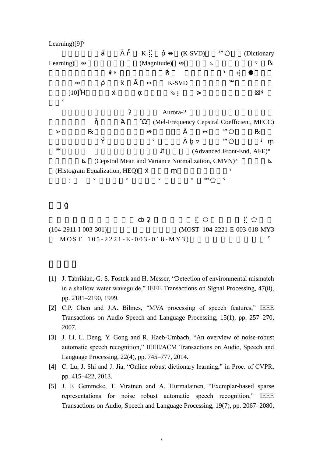Learning[\)\[9\]](#page-2-3)

K(K-SVD)
(Dictionary Learning)㕤↮妋婧嬲柣嬄䘬⻟⹎(Magnitude)ㆸ↮炻⛐㚨⮷⊾怬⍇妲嘇婌ⶖᶼ⛐℞

K-SVD

 $[10]$ 

Aurora-2

㝄栗䣢䚠庫㕤ἧ䓐㠭䇦Ὰ柣嬄Ὢ㔠(Mel-Frequency Cepstral Coefficient, MFCC)

(Advanced Front-End, AFE)

(Cepstral Mean and Variance Normalization, CMVN) (Histogram Equalization, HEO)

斄挝⫿: ⻟⿏ˣ婆枛彐嬀ˣ婧嬲柣嬄ˣ䦨䔷䶐䡤ˣ⫿℠⬠佺ˤ

(104-2911-I-003-301) (MOST 104-2221-E-003-018-MY3  $MOST \ 105 - 2221 - E - 003 - 018 - MY3)$ 

- <span id="page-1-0"></span>[1] J. Tabrikian, G. S. Fostck and H. Messer, "Detection of environmental mismatch in a shallow water waveguide," IEEE Transactions on Signal Processing, 47(8), pp. 2181–2190, 1999.
- <span id="page-1-2"></span>[2] C.P. Chen and J.A. Bilmes, "MVA processing of speech features," IEEE Transactions on Audio Speech and Language Processing, 15(1), pp. 257–270, 2007.
- <span id="page-1-1"></span>[3] J. Li, L. Deng, Y. Gong and R. Haeb-Umbach, "An overview of noise-robust automatic speech recognition," IEEE/ACM Transactions on Audio, Speech and Language Processing, 22(4), pp. 745–777, 2014.
- <span id="page-1-3"></span>[4] C. Lu, J. Shi and J. Jia, "Online robust dictionary learning," in Proc. of CVPR, pp. 415–422, 2013.
- <span id="page-1-4"></span>[5] J. F. Gemmeke, T. Viratnen and A. Hurmalainen, "Exemplar-based sparse representations for noise robust automatic speech recognition," IEEE Transactions on Audio, Speech and Language Processing, 19(7), pp. 2067–2080,

8